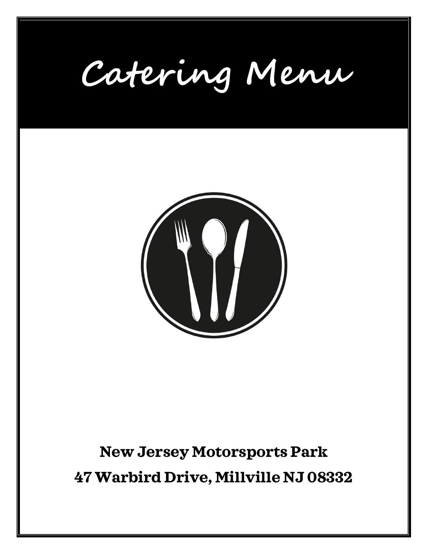**Catering Menu**



# **New Jersey Motorsports Park 47 Warbird Drive, Millville NJ 08332**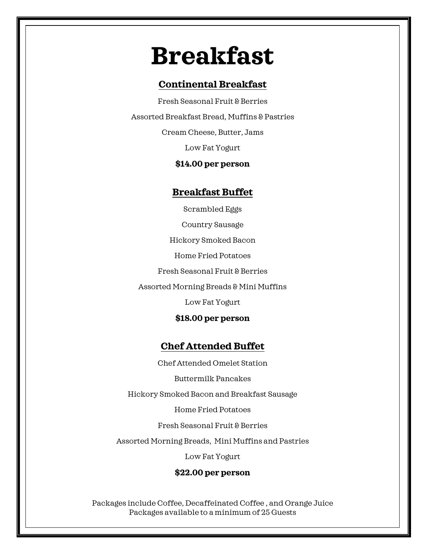# **Breakfast Breakfast**

# **Continental Breakfast**

Fresh Seasonal Fruit & Berries Assorted Breakfast Bread, Muffins & Pastries Cream Cheese, Butter, Jams Low Fat Yogurt

# **\$14.00 per person**

# **Breakfast Buffet**

Scrambled Eggs Country Sausage Hickory Smoked Bacon Home Fried Potatoes Fresh Seasonal Fruit & Berries Assorted Morning Breads & Mini Muffins Low Fat Yogurt

## **\$18.00 per person**

# **Chef Attended Buffet**

Chef Attended Omelet Station

Buttermilk Pancakes

Hickory Smoked Bacon and Breakfast Sausage

Home Fried Potatoes

Fresh Seasonal Fruit & Berries

Assorted Morning Breads, Mini Muffins and Pastries

Low Fat Yogurt

# **\$22.00 per person**

Packages include Coffee, Decaffeinated Coffee , and Orange Juice Packages available to a minimum of 25 Guests

Packages Include Hot and Cold Beverage Service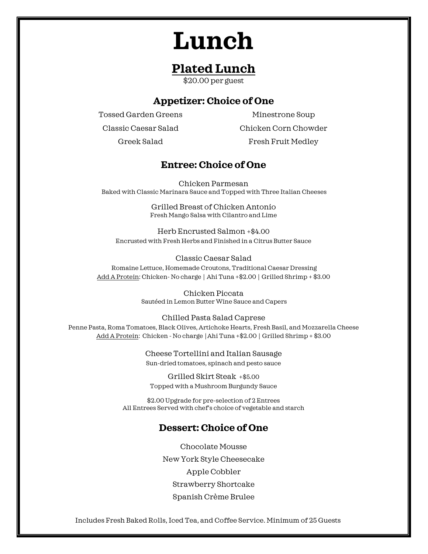# **Lunch**

# **Plated Lunch**

\$20.00 per guest

# **Appetizer: Choice of One**

Tossed Garden Greens Classic Caesar Salad

Minestrone Soup Chicken Corn Chowder Fresh Fruit Medley

Greek Salad

# **Entree: Choice of One**

Chicken Parmesan Baked with Classic Marinara Sauce and Topped with Three Italian Cheeses

> Grilled Breast of Chicken Antonio Fresh Mango Salsa with Cilantro and Lime

Herb Encrusted Salmon +\$4.00 Encrusted with Fresh Herbs and Finished in a Citrus Butter Sauce

Classic Caesar Salad Romaine Lettuce, Homemade Croutons, Traditional Caesar Dressing Add A Protein: Chicken- No charge │ Ahi Tuna +\$2.00 │ Grilled Shrimp + \$3.00

> Chicken Piccata Sautéed in Lemon Butter Wine Sauce and Capers

Chilled Pasta Salad Caprese Penne Pasta, Roma Tomatoes, Black Olives, Artichoke Hearts, Fresh Basil, and Mozzarella Cheese Add A Protein: Chicken - No charge │Ahi Tuna +\$2.00 │ Grilled Shrimp + \$3.00

> Cheese Tortellini and Italian Sausage Sun-dried tomatoes, spinach and pesto sauce

Grilled Skirt Steak +\$5.00 Topped with a Mushroom Burgundy Sauce

\$2.00 Upgrade for pre-selection of 2 Entrees All Entrees Served with chef's choice of vegetable and starch

# **Dessert: Choice of One**

Chocolate Mousse New York Style Cheesecake Apple Cobbler Strawberry Shortcake Spanish Crème Brulee

Includes Fresh Baked Rolls, Iced Tea, and Coffee Service. Minimum of 25 Guests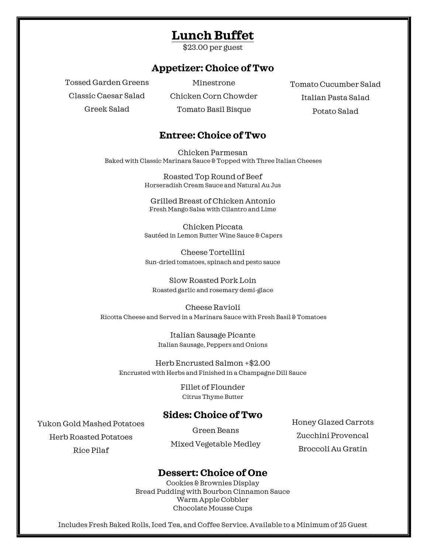# **Lunch Buffet**

\$23.00 per guest

# **Appetizer: Choice of Two**

Tossed Garden Greens Classic Caesar Salad Greek Salad

Minestrone

Chicken Corn Chowder Tomato Basil Bisque

Tomato Cucumber Salad Italian Pasta Salad Potato Salad

# **Entree: Choice of Two**

Chicken Parmesan Baked with Classic Marinara Sauce & Topped with Three Italian Cheeses

> Roasted Top Round of Beef Horseradish Cream Sauce and Natural Au Jus

Grilled Breast of Chicken Antonio Fresh Mango Salsa with Cilantro and Lime

Chicken Piccata Sautéed in Lemon Butter Wine Sauce & Capers

Cheese Tortellini Sun-dried tomatoes, spinach and pesto sauce

Slow Roasted Pork Loin Roasted garlic and rosemary demi-glace

Cheese Ravioli Ricotta Cheese and Served in a Marinara Sauce with Fresh Basil & Tomatoes

> Italian Sausage Picante Italian Sausage, Peppers and Onions

Herb Encrusted Salmon +\$2.00 Encrusted with Herbs and Finished in a Champagne Dill Sauce

> Fillet of Flounder Citrus Thyme Butter

### **Sides: Choice of Two**

Yukon Gold Mashed Potatoes

Herb Roasted Potatoes Rice Pilaf

Green Beans Mixed Vegetable Medley Honey Glazed Carrots Zucchini Provencal Broccoli Au Gratin

# **Dessert: Choice of One**

Cookies & Brownies Display Bread Pudding with Bourbon Cinnamon Sauce Warm Apple Cobbler Chocolate Mousse Cups

Includes Fresh Baked Rolls, Iced Tea, and Coffee Service. Available to a Minimum of 25 Guest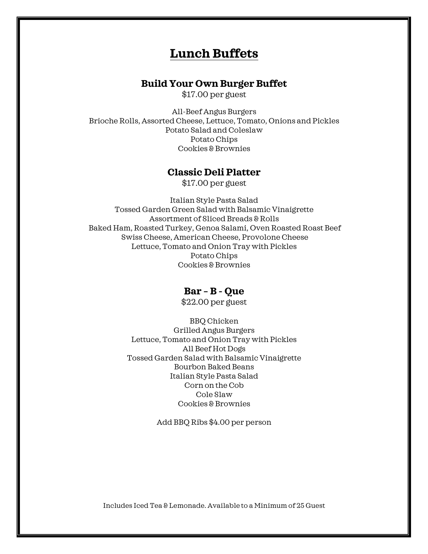# **Lunch Buffets**

## **Build Your Own Burger Buffet**

\$17.00 per guest

All-Beef Angus Burgers Brioche Rolls, Assorted Cheese, Lettuce, Tomato, Onions and Pickles Potato Salad and Coleslaw Potato Chips Cookies & Brownies

## **Classic Deli Platter**

\$17.00 per guest

Italian Style Pasta Salad Tossed Garden Green Salad with Balsamic Vinaigrette Assortment of Sliced Breads & Rolls Baked Ham, Roasted Turkey, Genoa Salami, Oven Roasted Roast Beef Swiss Cheese, American Cheese, Provolone Cheese Lettuce, Tomato and Onion Tray with Pickles Potato Chips Cookies & Brownies

### **Bar – B - Que**

\$22.00 per guest

BBQ Chicken Grilled Angus Burgers Lettuce, Tomato and Onion Tray with Pickles All Beef Hot Dogs Tossed Garden Salad with Balsamic Vinaigrette Bourbon Baked Beans Italian Style Pasta Salad Corn on the Cob Cole Slaw Cookies & Brownies

Add BBQ Ribs \$4.00 per person

Includes Iced Tea & Lemonade. Available to a Minimum of 25 Guest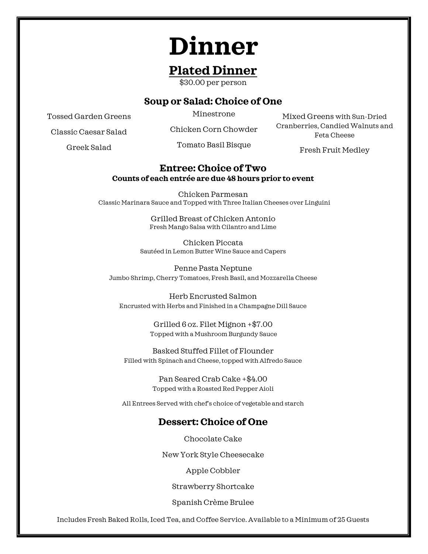# **Dinner**

# **Plated Dinner**

\$30.00 per person

# **Soup or Salad: Choice of One**

Tossed Garden Greens

Minestrone

Classic Caesar Salad

Chicken Corn Chowder

Greek Salad

Tomato Basil Bisque

Mixed Greens with Sun-Dried Cranberries, Candied Walnuts and Feta Cheese

Fresh Fruit Medley

### **Entree: Choice of Two Counts of each entrée are due 48 hours prior to event**

Chicken Parmesan Classic Marinara Sauce and Topped with Three Italian Cheeses over Linguini

> Grilled Breast of Chicken Antonio Fresh Mango Salsa with Cilantro and Lime

Chicken Piccata Sautéed in Lemon Butter Wine Sauce and Capers

Penne Pasta Neptune Jumbo Shrimp, Cherry Tomatoes, Fresh Basil, and Mozzarella Cheese

Herb Encrusted Salmon Encrusted with Herbs and Finished in a Champagne Dill Sauce

> Grilled 6 oz. Filet Mignon +\$7.00 Topped with a Mushroom Burgundy Sauce

Basked Stuffed Fillet of Flounder Filled with Spinach and Cheese, topped with Alfredo Sauce

> Pan Seared Crab Cake +\$4.00 Topped with a Roasted Red Pepper Aioli

All Entrees Served with chef's choice of vegetable and starch

# **Dessert: Choice of One**

Chocolate Cake

New York Style Cheesecake

Apple Cobbler

Strawberry Shortcake

Spanish Crème Brulee

Includes Fresh Baked Rolls, Iced Tea, and Coffee Service. Available to a Minimum of 25 Guests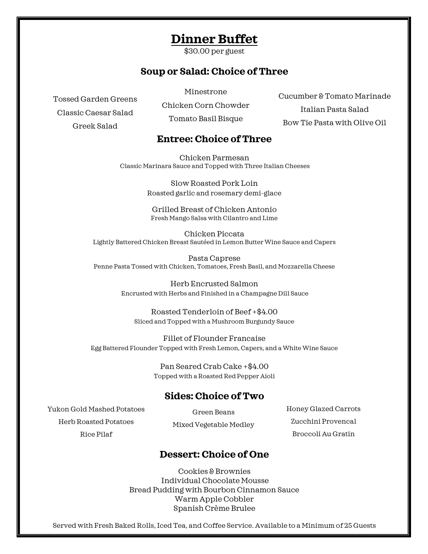# **Dinner Buffet**

\$30.00 per guest

# **Soup or Salad: Choice of Three**

Tossed Garden Greens

Classic Caesar Salad

Greek Salad

Chicken Corn Chowder Tomato Basil Bisque

Minestrone

Cucumber & Tomato Marinade Italian Pasta Salad Bow Tie Pasta with Olive Oil

# **Entree: Choice of Three**

Chicken Parmesan Classic Marinara Sauce and Topped with Three Italian Cheeses

> Slow Roasted Pork Loin Roasted garlic and rosemary demi-glace

Grilled Breast of Chicken Antonio Fresh Mango Salsa with Cilantro and Lime

Chicken Piccata Lightly Battered Chicken Breast Sautéed in Lemon Butter Wine Sauce and Capers

Pasta Caprese Penne Pasta Tossed with Chicken, Tomatoes, Fresh Basil, and Mozzarella Cheese

> Herb Encrusted Salmon Encrusted with Herbs and Finished in a Champagne Dill Sauce

Roasted Tenderloin of Beef +\$4.00 Sliced and Topped with a Mushroom Burgundy Sauce

Fillet of Flounder Francaise Egg Battered Flounder Topped with Fresh Lemon, Capers, and a White Wine Sauce

> Pan Seared Crab Cake +\$4.00 Topped with a Roasted Red Pepper Aioli

#### $\Omega$ **Sides: Choice of Two**

Yukon Gold Mashed Potatoes Herb Roasted Potatoes Mixed Rice Pilaf

Green Beans Mixed Vegetable Medley

NY Style Cheesecake with Fresh Strawberries Honey Glazed Carrots Zucchini Provencal Broccoli Au Gratin

# **Dessert: Choice of One**

Cookies & Brownies Individual Chocolate Mousse Bread Pudding with Bourbon Cinnamon Sauce Warm Apple Cobbler Spanish Crème Brulee

Served with Fresh Baked Rolls, Iced Tea, and Coffee Service. Available to a Minimum of 25 Guests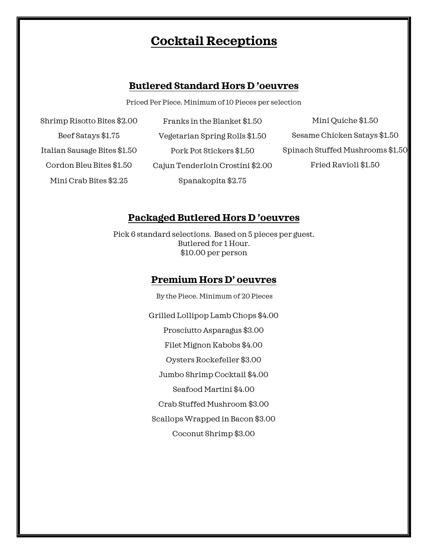# **Cocktail Receptions**

## **Butlered Standard Hors D 'oeuvres**

Priced Per Piece. Minimum of 10 Pieces per selection

Shrimp Risotto Bites \$2.00 Beef Satays \$1.75 Italian Sausage Bites \$1.50 Cordon Bleu Bites \$1.50 Mini Crab Bites \$2.25

Franks in the Blanket \$1.50 Vegetarian Spring Rolls \$1.50 Pork Pot Stickers \$1.50 Cajun Tenderloin Crostini \$2.00 Spanakopita \$2.75

Mini Quiche \$1.50 Sesame Chicken Satays \$1.50 Spinach Stuffed Mushrooms \$1.50 Fried Ravioli \$1.50

## **Packaged Butlered Hors D 'oeuvres**

Pick 6 standard selections. Based on 5 pieces per guest. Butlered for 1 Hour. \$10.00 per person

# **Premium Hors D' oeuvres**

By the Piece. Minimum of 20 Pieces Grilled Lollipop Lamb Chops \$4.00 Prosciutto Asparagus \$3.00 Filet Mignon Kabobs \$4.00 Oysters Rockefeller \$3.00 Jumbo Shrimp Cocktail \$4.00 Seafood Martini \$4.00 Crab Stuffed Mushroom \$3.00 Scallops Wrapped in Bacon \$3.00 Coconut Shrimp \$3.00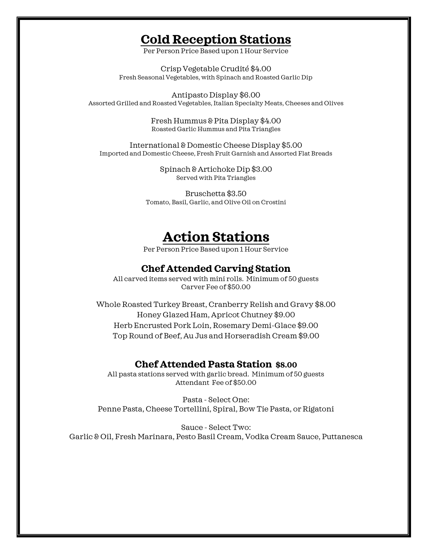# **Cold Reception Stations**

Per Person Price Based upon 1 Hour Service

Crisp Vegetable Crudité \$4.00 Fresh Seasonal Vegetables, with Spinach and Roasted Garlic Dip

Antipasto Display \$6.00 Assorted Grilled and Roasted Vegetables, Italian Specialty Meats, Cheeses and Olives

> Fresh Hummus & Pita Display \$4.00 Roasted Garlic Hummus and Pita Triangles

International & Domestic Cheese Display \$5.00 Imported and Domestic Cheese, Fresh Fruit Garnish and Assorted Flat Breads

> Spinach & Artichoke Dip \$3.00 Served with Pita Triangles

Bruschetta \$3.50 Tomato, Basil, Garlic, and Olive Oil on Crostini

# **Action Stations**

Per Person Price Based upon 1 Hour Service

# **Chef Attended Carving Station**

All carved items served with mini rolls. Minimum of 50 guests Carver Fee of \$50.00

Whole Roasted Turkey Breast, Cranberry Relish and Gravy \$8.00 Honey Glazed Ham, Apricot Chutney \$9.00 Herb Encrusted Pork Loin, Rosemary Demi-Glace \$9.00 Top Round of Beef, Au Jus and Horseradish Cream \$9.00

### **Chef Attended Pasta Station \$8.00**

All pasta stations served with garlic bread. Minimum of 50 guests Attendant Fee of \$50.00

Pasta - Select One: Penne Pasta, Cheese Tortellini, Spiral, Bow Tie Pasta, or Rigatoni

Sauce - Select Two: Garlic & Oil, Fresh Marinara, Pesto Basil Cream, Vodka Cream Sauce, Puttanesca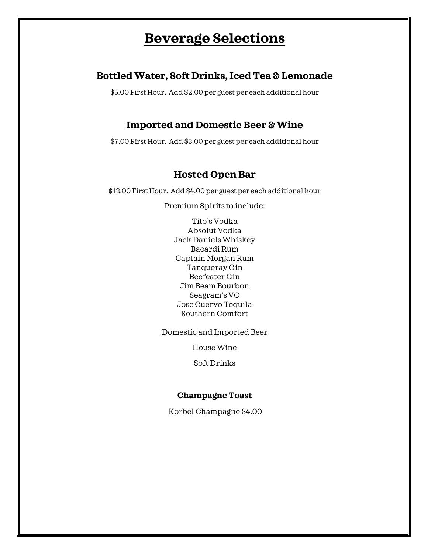# **Beverage Selections**

# **Bottled Water, Soft Drinks, Iced Tea & Lemonade**

\$5.00 First Hour. Add \$2.00 per guest per each additional hour

# **Imported and Domestic Beer & Wine**

\$7.00 First Hour. Add \$3.00 per guest per each additional hour

# **Hosted Open Bar**

\$12.00 First Hour. Add \$4.00 per guest per each additional hour

Premium Spirits to include:

Tito's Vodka Absolut Vodka Jack Daniels Whiskey Bacardi Rum Captain Morgan Rum Tanqueray Gin Beefeater Gin Jim Beam Bourbon Seagram's VO Jose Cuervo Tequila Southern Comfort

Domestic and Imported Beer

House Wine

Soft Drinks

### **Champagne Toast**

Korbel Champagne \$4.00